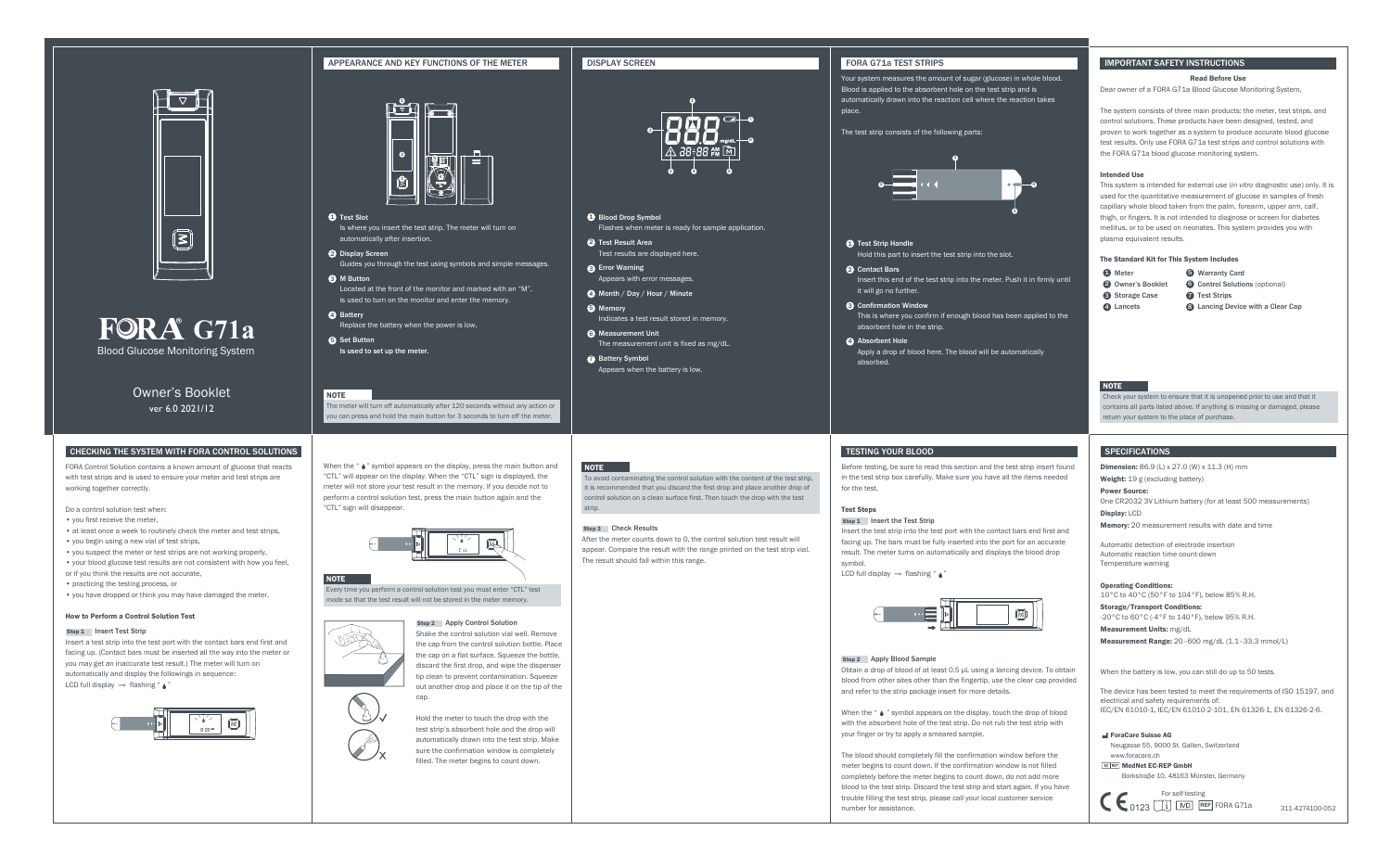For self-testing



### **1** Test Slot

Is where you insert the test strip. The meter will turn on automatically after insertion.

- 2 Display Screen Guides you through the test using symbols and simple messages.
- **3** M Button Located at the front of the monitor and marked with an "M", is used to turn on the monitor and enter the memory.
- 4 Battery Replace the battery when the power is low.
- **S** Set Button Is used to set up the meter.

### **NOTE**

The meter will turn off automatically after 120 seconds without any action or ou can press and hold the main button for 3 seconds to turn off the meter.

- Test results are displayed here.
- Appears with error messages.
- 
- **6** Measurement Unit The measurement unit is fixed as mg/dL.
- **B** Battery Symbol

### **DISPLAY SCREEN FORA G71a TEST STRIPS**

- **Blood Drop Symbol**
- 2 Test Result Area
- **3** Error Warning
- Month / Day / Hour / Minute 4
- $\bullet$  Memory Indicates a test result stored in memory.
- 
- Appears when the battery is low.

### **NOTE**

# Flashes when meter is ready for sample application.

- **D** Test Strip Handle
- 2 Contact Bars it will go no further.
- **3** Confirmation Window absorbent hole in the strip.
- **4** Absorbent Hole absorbed.

### APPEARANCE AND KEY FUNCTIONS OF THE METER



Hold this part to insert the test strip into the slot.

Insert a test strip into the test port with the contact bars end first and facing up. (Contact bars must be inserted all the way into the meter or you may get an inaccurate test result.) The meter will turn on automatically and display the followings in sequence: LCD full display  $\rightarrow$  flashing " $\rightarrow$ "



- Insert this end of the test strip into the meter. Push it in firmly until
	-
- This is where you confirm if enough blood has been applied to the

Apply a drop of blood here. The blood will be automatically

Power Source: One CR2032 3V Lithium battery (for at least 500 measurements) Display: LCD

Memory: 20 measurement results with date and time

Automatic detection of electrode insertion Automatic reaction time count-down Temperature warning

Operating Conditions:

When the " $\bullet$ " symbol appears on the display, press the main button and "CTL" will appear on the display. When the "CTL" sign is displayed, the meter will not store your test result in the memory. If you decide not to perform a control solution test, press the main button again and the "CTL" sign will disappear.

> Step 2 Apply Control Solution Shake the control solution vial well. Remove the cap from the control solution bottle. Place the cap on a flat surface. Squeeze the bottle, discard the first drop, and wipe the dispenser tip clean to prevent contamination. Squeeze out another drop and place it on the tip of the can.





### **NOTE**

10°C to 40°C (50°F to 104°F), below 85% R.H.

Storage/Transport Conditions:

-20°C to 60°C (-4°F to 140°F), below 95% R.H.

Measurement Units: mg/dL

Measurement Range: 20-600 mg/dL (1.1-33.3 mmol/L)

When the battery is low, you can still do up to 50 tests.

very time you perform a control solution test you must enter "CTL" test mode so that the test result will not be stored in the meter memory.



The device has been tested to meet the requirements of ISO 15197, and electrical and safety requirements of: IEC/EN 61010-1, IEC/EN 61010-2-101, EN 61326-1, EN 61326-2-6.

# Blood Glucose Monitoring System **FORA** G71a



FORA Control Solution contains a known amount of glucose that reacts with test strips and is used to ensure your meter and test strips are working together correctly.

Do a control solution test when:

- you first receive the meter,
- at least once a week to routinely check the meter and test strips,
- you begin using a new vial of test strips,
- you suspect the meter or test strips are not working properly,
- your blood glucose test results are not consistent with how you feel,
- or if you think the results are not accurate,
- practicing the testing process, or
- you have dropped or think you may have damaged the meter.

### How to Perform a Control Solution Test

### Step 1 Insert Test Strip

### Test Steps Step 1 Insert the Test Strip

symbol. LCD full display  $\rightarrow$  flashing "  $\rightarrow$  "



When the " $\bullet$  " symbol appears on the display, touch the drop of blood with the absorbent hole of the test strip. Do not rub the test strip with your finger or try to apply a smeared sample.

> EC REP MedNet EC-REP GmbH Borkstraβe 10, 48163 Mϋnster, Germany

> > 0123 U<sub>1</sub> U<sub>ND</sub> REF FORA G71a 311-4274100-052

Hold the meter to touch the drop with the test strip's absorbent hole and the drop will automatically drawn into the test strip. Make sure the confirmation window is completely filled. The meter begins to count down.

Your system measures the amount of sugar (glucose) in whole blood. Blood is applied to the absorbent hole on the test strip and is automatically drawn into the reaction cell where the reaction takes

place.

The test strip consists of the following parts:

Owner's Booklet ver 6.0 2021/12

### CHECKING THE SYSTEM WITH FORA CONTROL SOLUTIONS **SPECIFICATIONS** THE STEMS OF SPECIFICATIONS AND SPECIFICATIONS SPECIFICATIONS AND SPECIFICATIONS THE STEMS OF SPECIFICATIONS AND SPECIFICATIONS AND SPECIFICATIONS AND SPECIF

### IMPORTANT SAFETY INSTRUCTIONS

### Read Before Use

Dear owner of a FORA G71a Blood Glucose Monitoring System,

The system consists of three main products: the meter, test strips, and control solutions. These products have been designed, tested, and proven to work together as a system to produce accurate blood glucose test results. Only use FORA G71a test strips and control solutions with the FORA G71a blood glucose monitoring system.

### Intended Use

This system is intended for external use (*in vitro* diagnostic use) only. It is used for the quantitative measurement of glucose in samples of fresh capillary whole blood taken from the palm, forearm, upper arm, calf, thigh, or fingers. It is not intended to diagnose or screen for diabetes mellitus, or to be used on neonates. This system provides you with plasma equivalent results.

### The Standard Kit for This System Includes

- **A** Meter
- 2 Owner's Booklet 6
- **3** Storage Case **7**
- 4 Lancets 8
- 5 Warranty Card
- **G** Control Solutions (optional)
- **O** Test Strips
	- **8** Lancing Device with a Clear Cap

## **NOTE**

Check your system to ensure that it is unopened prior to use and that it contains all parts listed above. If anything is missing or damaged, please return your system to the place of purchase.

### Step 3 Check Results

After the meter counts down to 0, the control solution test result will appear. Compare the result with the range printed on the test strip vial. The result should fall within this range.

To avoid contaminating the control solution with the content of the test strip, it is recommended that you discard the first drop and place another drop of control solution on a clean surface first. Then touch the drop with the test strip.

ForaCare Suisse AG

Neugasse 55, 9000 St. Gallen, Switzerland www.foracare.ch

# TESTING YOUR BLOOD

Before testing, be sure to read this section and the test strip insert found in the test strip box carefully. Make sure you have all the items needed

for the test.

Insert the test strip into the test port with the contact bars end first and facing up. The bars must be fully inserted into the port for an accurate result. The meter turns on automatically and displays the blood drop





 Step 2 Apply Blood Sample Obtain a drop of blood of at least 0.5 µL using a lancing device. To obtain blood from other sites other than the fingertip, use the clear cap provided and refer to the strip package insert for more details.

The blood should completely fill the confirmation window before the meter begins to count down. If the confirmation window is not filled completely before the meter begins to count down, do not add more blood to the test strip. Discard the test strip and start again. If you have trouble filling the test strip, please call your local customer service

**Dimension:** 86.9 (L) x 27.0 (W) x 11.3 (H) mm

Weight: 19 g (excluding battery)

number for assistance.